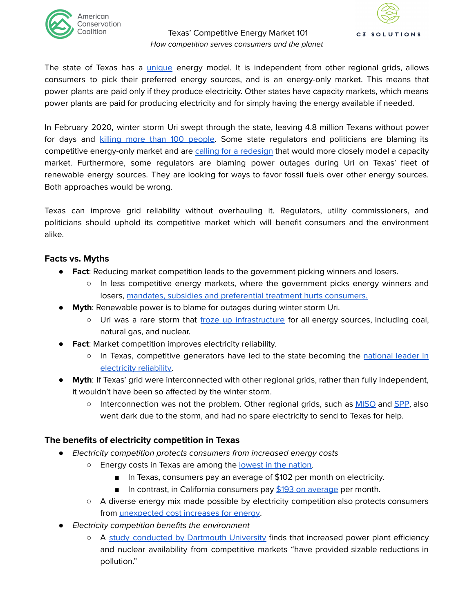

### Texas' Competitive Energy Market 101 How competition serves consumers and the planet



The state of Texas has a [unique](https://www.aier.org/article/the-american-public-favors-competitive-energy-markets-so-does-the-environment/) energy model. It is independent from other regional grids, allows consumers to pick their preferred energy sources, and is an energy-only market. This means that power plants are paid only if they produce electricity. Other states have capacity markets, which means power plants are paid for producing electricity and for simply having the energy available if needed.

In February 2020, winter storm Uri swept through the state, leaving 4.8 million Texans without power for days and killing more than 100 [people](https://www.texastribune.org/2021/03/25/texas-deaths-winter-storm/). Some state regulators and politicians are blaming its competitive energy-only market and are calling for a [redesign](https://www.kxan.com/news/texas/whats-the-future-of-texas-energy-grid-panel-discusses-that-at-10-a-m/) that would more closely model a capacity market. Furthermore, some regulators are blaming power outages during Uri on Texas' fleet of renewable energy sources. They are looking for ways to favor fossil fuels over other energy sources. Both approaches would be wrong.

Texas can improve grid reliability without overhauling it. Regulators, utility commissioners, and politicians should uphold its competitive market which will benefit consumers and the environment alike.

# **Facts vs. Myths**

- **Fact**: Reducing market competition leads to the government picking winners and losers.
	- In less competitive energy markets, where the government picks energy winners and losers, mandates, subsidies and [preferential](https://www.nytimes.com/2021/08/30/business/energy-environment/californias-solar-housing-costs.html) treatment hurts consumers.
- **Myth**: Renewable power is to blame for outages during winter storm Uri.
	- Uri was a rare storm that froze up [infrastructure](https://www.texasmonthly.com/news-politics/what-went-wrong-with-texass-main-electric-grid-and-could-it-have-been-prevented/) for all energy sources, including coal, natural gas, and nuclear.
- **Fact:** Market competition improves electricity reliability.
	- o In Texas, competitive generators have led to the state becoming the [national](https://www.realclearenergy.org/articles/2021/03/15/five_truths_about_grid_reliability_and_deregulation_768172.html) leader in [electricity](https://www.realclearenergy.org/articles/2021/03/15/five_truths_about_grid_reliability_and_deregulation_768172.html) reliability.
- **Myth**: If Texas' grid were interconnected with other regional grids, rather than fully independent, it wouldn't have been so affected by the winter storm.
	- Interconnection was not the problem. Other regional grids, such as [MISO](https://cdn.misoenergy.org/2021%20Arctic%20Event%20Report554429.pdf) and [SPP,](https://www.spp.org/markets-operations/current-grid-conditions/2021-winter-storm-review/) also went dark due to the storm, and had no spare electricity to send to Texas for help.

# **The benefits of electricity competition in Texas**

- *●* Electricity competition protects consumers from increased energy costs
	- Energy costs in Texas are among the [lowest](https://www.electricrate.com/electricity-rates-by-state/) in the nation.
		- In Texas, consumers pay an average of \$102 per month on electricity.
		- In contrast, in California consumers pay \$193 on [average](https://www.electricrate.com/electricity-rates-by-state/) per month.
	- A diverse energy mix made possible by electricity competition also protects consumers from *[unexpected](https://www.wsj.com/articles/natural-gas-exports-lift-prices-for-u-s-utilities-ahead-of-winter-11636281000) cost increases for energy*.
- Electricity competition benefits the environment
	- A study [conducted](https://mansur.host.dartmouth.edu/papers/bushnell_mansur_novan_literature_elec_restructuring.pdf) by Dartmouth University finds that increased power plant efficiency and nuclear availability from competitive markets "have provided sizable reductions in pollution."